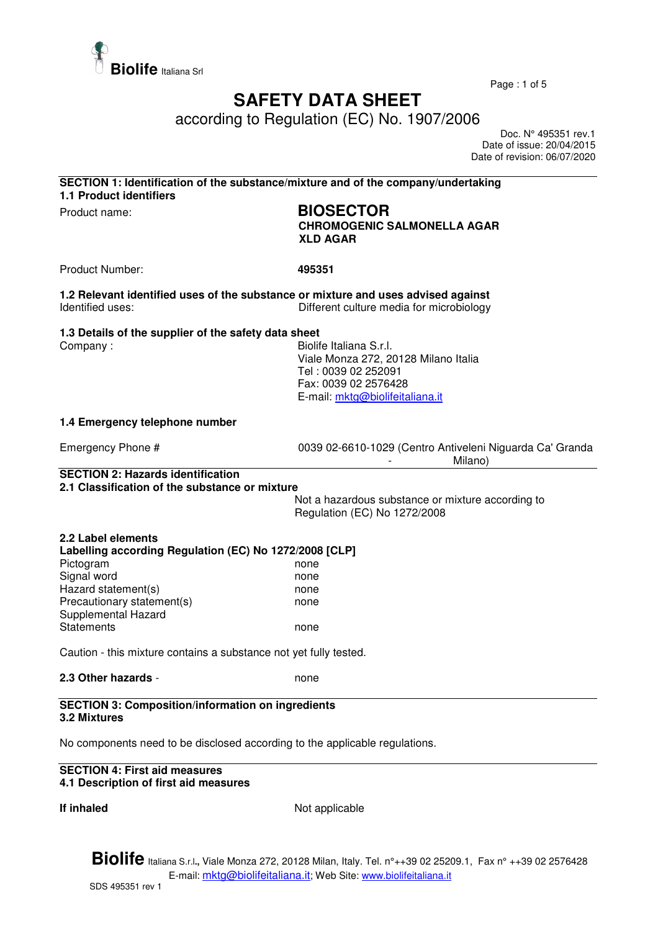

Page : 1 of 5

## **SAFETY DATA SHEET**

according to Regulation (EC) No. 1907/2006

 Doc. N° 495351 rev.1 Date of issue: 20/04/2015 Date of revision: 06/07/2020

| SECTION 1: Identification of the substance/mixture and of the company/undertaking |  |
|-----------------------------------------------------------------------------------|--|
| <b>1.1 Product identifiers</b>                                                    |  |
|                                                                                   |  |

# Product name: **BIOSECTOR**

**CHROMOGENIC SALMONELLA AGAR XLD AGAR** 

Product Number: **495351** 

**1.2 Relevant identified uses of the substance or mixture and uses advised against**  Different culture media for microbiology

**1.3 Details of the supplier of the safety data sheet** 

Company : Biolife Italiana S.r.l. Viale Monza 272, 20128 Milano Italia Tel : 0039 02 252091 Fax: 0039 02 2576428 E-mail: mktg@biolifeitaliana.it

#### **1.4 Emergency telephone number**

Emergency Phone # 0039 02-6610-1029 (Centro Antiveleni Niguarda Ca' Granda Milano)

#### **SECTION 2: Hazards identification 2.1 Classification of the substance or mixture**

Not a hazardous substance or mixture according to Regulation (EC) No 1272/2008

#### **2.2 Label elements Labelling according Regulation (EC) No 1272/2008 [CLP]**  Pictogram none Signal word none none Hazard statement(s) example the mone Precautionary statement(s) mone Supplemental Hazard Statements **none**

Caution - this mixture contains a substance not yet fully tested.

#### **2.3 Other hazards - none**

#### **SECTION 3: Composition/information on ingredients 3.2 Mixtures**

No components need to be disclosed according to the applicable regulations.

#### **SECTION 4: First aid measures 4.1 Description of first aid measures**

**If inhaled** Not applicable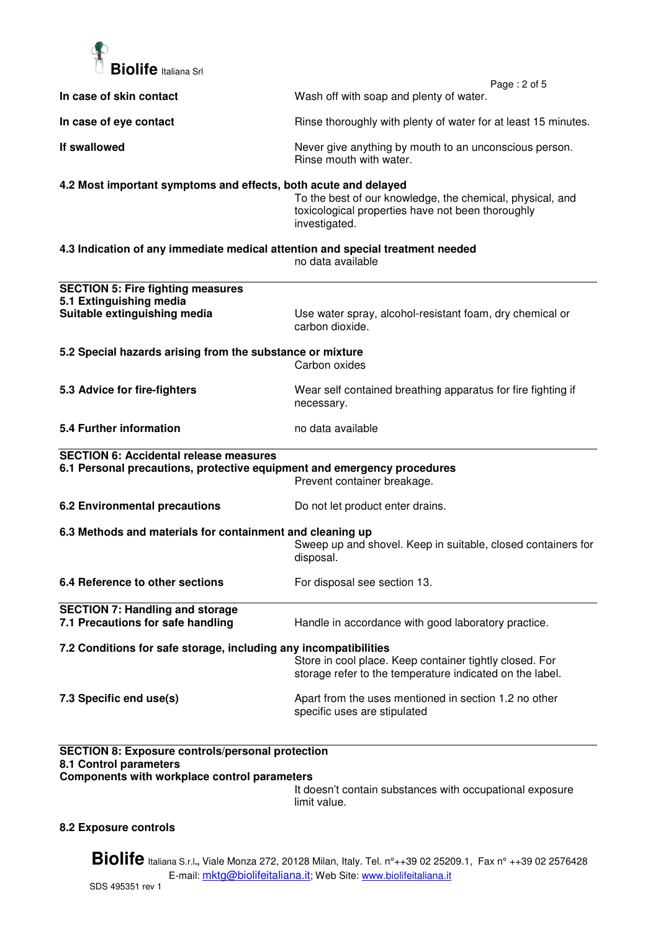

| In case of skin contact                                                                                                           | Page: 2 of 5<br>Wash off with soap and plenty of water.                                                                         |
|-----------------------------------------------------------------------------------------------------------------------------------|---------------------------------------------------------------------------------------------------------------------------------|
|                                                                                                                                   |                                                                                                                                 |
| In case of eye contact                                                                                                            | Rinse thoroughly with plenty of water for at least 15 minutes.                                                                  |
| If swallowed                                                                                                                      | Never give anything by mouth to an unconscious person.<br>Rinse mouth with water.                                               |
| 4.2 Most important symptoms and effects, both acute and delayed                                                                   | To the best of our knowledge, the chemical, physical, and<br>toxicological properties have not been thoroughly<br>investigated. |
| 4.3 Indication of any immediate medical attention and special treatment needed                                                    | no data available                                                                                                               |
| <b>SECTION 5: Fire fighting measures</b>                                                                                          |                                                                                                                                 |
| 5.1 Extinguishing media<br>Suitable extinguishing media                                                                           | Use water spray, alcohol-resistant foam, dry chemical or<br>carbon dioxide.                                                     |
| 5.2 Special hazards arising from the substance or mixture                                                                         | Carbon oxides                                                                                                                   |
| 5.3 Advice for fire-fighters                                                                                                      | Wear self contained breathing apparatus for fire fighting if<br>necessary.                                                      |
| 5.4 Further information                                                                                                           | no data available                                                                                                               |
| <b>SECTION 6: Accidental release measures</b>                                                                                     |                                                                                                                                 |
| 6.1 Personal precautions, protective equipment and emergency procedures                                                           | Prevent container breakage.                                                                                                     |
| <b>6.2 Environmental precautions</b>                                                                                              | Do not let product enter drains.                                                                                                |
| 6.3 Methods and materials for containment and cleaning up                                                                         | Sweep up and shovel. Keep in suitable, closed containers for<br>disposal.                                                       |
| 6.4 Reference to other sections                                                                                                   | For disposal see section 13.                                                                                                    |
| <b>SECTION 7: Handling and storage</b><br>7.1 Precautions for safe handling                                                       | Handle in accordance with good laboratory practice.                                                                             |
| 7.2 Conditions for safe storage, including any incompatibilities                                                                  | Store in cool place. Keep container tightly closed. For<br>storage refer to the temperature indicated on the label.             |
| 7.3 Specific end use(s)                                                                                                           | Apart from the uses mentioned in section 1.2 no other<br>specific uses are stipulated                                           |
| <b>SECTION 8: Exposure controls/personal protection</b><br>8.1 Control parameters<br>Components with workplace control parameters |                                                                                                                                 |

It doesn't contain substances with occupational exposure limit value.

## **8.2 Exposure controls**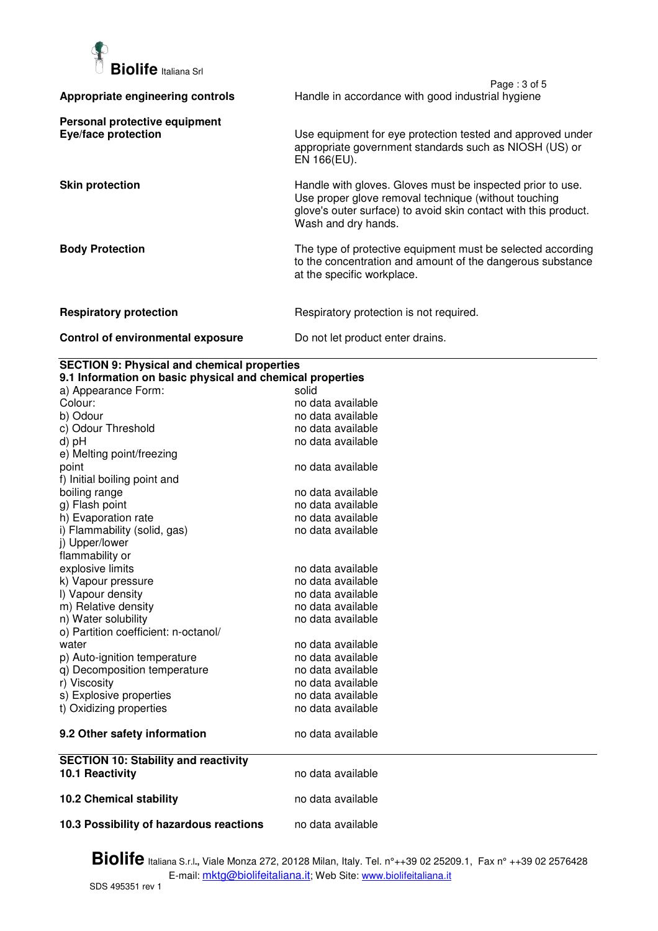

|                                                      | Page: 3 of 5                                                                                                                                                                                                 |
|------------------------------------------------------|--------------------------------------------------------------------------------------------------------------------------------------------------------------------------------------------------------------|
| Appropriate engineering controls                     | Handle in accordance with good industrial hygiene                                                                                                                                                            |
| Personal protective equipment<br>Eye/face protection | Use equipment for eye protection tested and approved under<br>appropriate government standards such as NIOSH (US) or<br>EN 166(EU).                                                                          |
| <b>Skin protection</b>                               | Handle with gloves. Gloves must be inspected prior to use.<br>Use proper glove removal technique (without touching<br>glove's outer surface) to avoid skin contact with this product.<br>Wash and dry hands. |
| <b>Body Protection</b>                               | The type of protective equipment must be selected according<br>to the concentration and amount of the dangerous substance<br>at the specific workplace.                                                      |
| <b>Respiratory protection</b>                        | Respiratory protection is not required.                                                                                                                                                                      |
| Control of environmental exposure                    | Do not let product enter drains.                                                                                                                                                                             |

### **SECTION 9: Physical and chemical properties**

| 9.1 Information on basic physical and chemical properties |                   |  |
|-----------------------------------------------------------|-------------------|--|
| a) Appearance Form:                                       | solid             |  |
| Colour:                                                   | no data available |  |
| b) Odour                                                  | no data available |  |
| c) Odour Threshold                                        | no data available |  |
| d) pH                                                     | no data available |  |
| e) Melting point/freezing                                 |                   |  |
| point                                                     | no data available |  |
| f) Initial boiling point and                              |                   |  |
| boiling range                                             | no data available |  |
| g) Flash point                                            | no data available |  |
| h) Evaporation rate                                       | no data available |  |
| i) Flammability (solid, gas)                              | no data available |  |
| j) Upper/lower                                            |                   |  |
| flammability or                                           |                   |  |
| explosive limits                                          | no data available |  |
| k) Vapour pressure                                        | no data available |  |
| I) Vapour density                                         | no data available |  |
| m) Relative density                                       | no data available |  |
| n) Water solubility                                       | no data available |  |
| o) Partition coefficient: n-octanol/                      |                   |  |
| water                                                     | no data available |  |
| p) Auto-ignition temperature                              | no data available |  |
| q) Decomposition temperature                              | no data available |  |
| r) Viscosity                                              | no data available |  |
| s) Explosive properties                                   | no data available |  |
| t) Oxidizing properties                                   | no data available |  |
| 9.2 Other safety information                              | no data available |  |
| <b>SECTION 10: Stability and reactivity</b>               |                   |  |
| 10.1 Reactivity                                           | no data available |  |
| <b>10.2 Chemical stability</b>                            | no data available |  |
| 10.3 Possibility of hazardous reactions                   | no data available |  |
|                                                           |                   |  |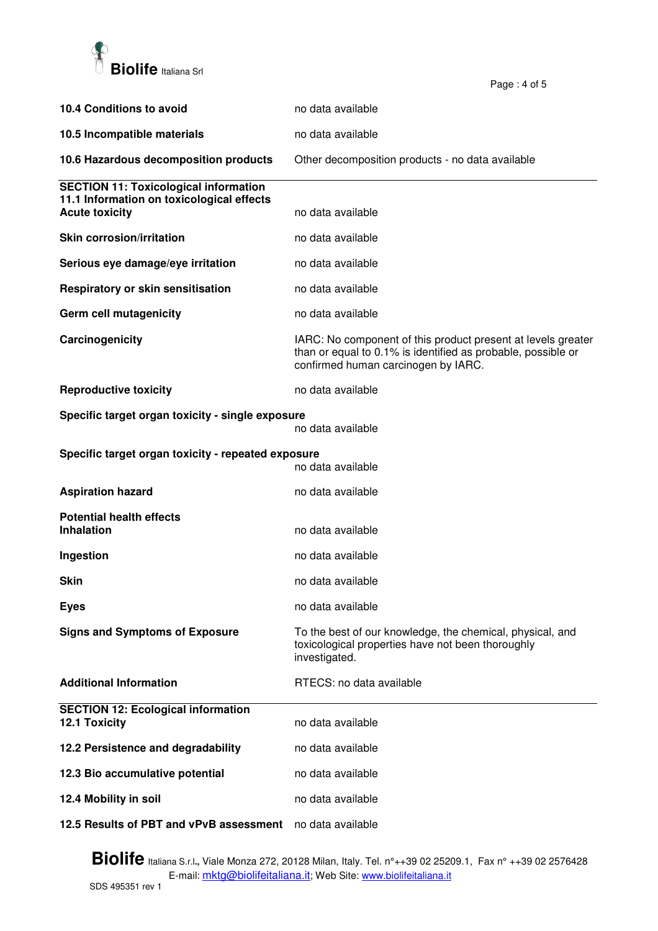

| <b>10.4 Conditions to avoid</b>                                         | no data available                                                                                                                                                   |
|-------------------------------------------------------------------------|---------------------------------------------------------------------------------------------------------------------------------------------------------------------|
| 10.5 Incompatible materials                                             | no data available                                                                                                                                                   |
| 10.6 Hazardous decomposition products                                   | Other decomposition products - no data available                                                                                                                    |
| <b>SECTION 11: Toxicological information</b>                            |                                                                                                                                                                     |
| 11.1 Information on toxicological effects<br><b>Acute toxicity</b>      | no data available                                                                                                                                                   |
| <b>Skin corrosion/irritation</b>                                        | no data available                                                                                                                                                   |
| Serious eye damage/eye irritation                                       | no data available                                                                                                                                                   |
| Respiratory or skin sensitisation                                       | no data available                                                                                                                                                   |
| Germ cell mutagenicity                                                  | no data available                                                                                                                                                   |
| Carcinogenicity                                                         | IARC: No component of this product present at levels greater<br>than or equal to 0.1% is identified as probable, possible or<br>confirmed human carcinogen by IARC. |
| <b>Reproductive toxicity</b>                                            | no data available                                                                                                                                                   |
| Specific target organ toxicity - single exposure<br>no data available   |                                                                                                                                                                     |
| Specific target organ toxicity - repeated exposure<br>no data available |                                                                                                                                                                     |
| <b>Aspiration hazard</b>                                                | no data available                                                                                                                                                   |
| <b>Potential health effects</b>                                         |                                                                                                                                                                     |
| <b>Inhalation</b>                                                       | no data available                                                                                                                                                   |
| Ingestion                                                               | no data available                                                                                                                                                   |
| Skin                                                                    | no data available                                                                                                                                                   |
| <b>Eyes</b>                                                             | no data available                                                                                                                                                   |
| <b>Signs and Symptoms of Exposure</b>                                   | To the best of our knowledge, the chemical, physical, and<br>toxicological properties have not been thoroughly<br>investigated.                                     |
| <b>Additional Information</b>                                           | RTECS: no data available                                                                                                                                            |
| <b>SECTION 12: Ecological information</b><br>12.1 Toxicity              | no data available                                                                                                                                                   |
| 12.2 Persistence and degradability                                      | no data available                                                                                                                                                   |
| 12.3 Bio accumulative potential                                         | no data available                                                                                                                                                   |
| 12.4 Mobility in soil                                                   | no data available                                                                                                                                                   |
| 12.5 Results of PBT and vPvB assessment                                 | no data available                                                                                                                                                   |

Page : 4 of 5